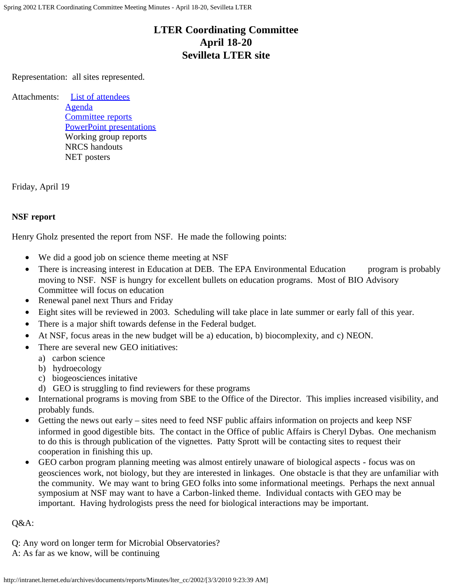# **LTER Coordinating Committee April 18-20 Sevilleta LTER site**

Representation: all sites represented.

Attachments: [List of attendees](http://intranet.lternet.edu/archives/documents/reports/Minutes/lter_cc/2002/spring02_cc_mtg_attendees.html) [Agenda](http://intranet.lternet.edu/archives/documents/reports/Minutes/lter_cc/2002/spring02_cc_mtg_agenda.html) [Committee reports](http://intranet.lternet.edu/archives/documents/reports/Minutes/lter_cc/2002/spring02_cc_mtg_committee_reports.html) [PowerPoint presentations](http://intranet.lternet.edu/archives/documents/reports/Minutes/lter_cc/2002/presentations.html) Working group reports NRCS handouts NET posters

Friday, April 19

## **NSF report**

Henry Gholz presented the report from NSF. He made the following points:

- We did a good job on science theme meeting at NSF
- There is increasing interest in Education at DEB. The EPA Environmental Education program is probably moving to NSF. NSF is hungry for excellent bullets on education programs. Most of BIO Advisory Committee will focus on education
- Renewal panel next Thurs and Friday
- Eight sites will be reviewed in 2003. Scheduling will take place in late summer or early fall of this year.
- There is a major shift towards defense in the Federal budget.
- At NSF, focus areas in the new budget will be a) education, b) biocomplexity, and c) NEON.
- There are several new GEO initiatives:
	- a) carbon science
	- b) hydroecology
	- c) biogeosciences initative
	- d) GEO is struggling to find reviewers for these programs
- International programs is moving from SBE to the Office of the Director. This implies increased visibility, and probably funds.
- Getting the news out early sites need to feed NSF public affairs information on projects and keep NSF informed in good digestible bits. The contact in the Office of public Affairs is Cheryl Dybas. One mechanism to do this is through publication of the vignettes. Patty Sprott will be contacting sites to request their cooperation in finishing this up.
- GEO carbon program planning meeting was almost entirely unaware of biological aspects focus was on geosciences work, not biology, but they are interested in linkages. One obstacle is that they are unfamiliar with the community. We may want to bring GEO folks into some informational meetings. Perhaps the next annual symposium at NSF may want to have a Carbon-linked theme. Individual contacts with GEO may be important. Having hydrologists press the need for biological interactions may be important.

## Q&A:

- Q: Any word on longer term for Microbial Observatories?
- A: As far as we know, will be continuing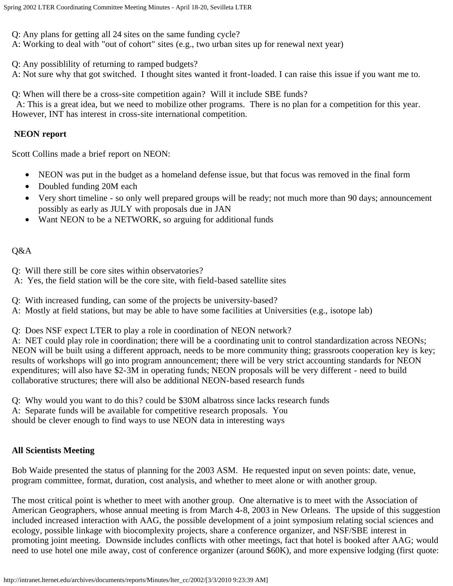Q: Any plans for getting all 24 sites on the same funding cycle?

A: Working to deal with "out of cohort" sites (e.g., two urban sites up for renewal next year)

Q: Any possiblility of returning to ramped budgets?

A: Not sure why that got switched. I thought sites wanted it front-loaded. I can raise this issue if you want me to.

Q: When will there be a cross-site competition again? Will it include SBE funds?

 A: This is a great idea, but we need to mobilize other programs. There is no plan for a competition for this year. However, INT has interest in cross-site international competition.

## **NEON report**

Scott Collins made a brief report on NEON:

- NEON was put in the budget as a homeland defense issue, but that focus was removed in the final form
- Doubled funding 20M each
- Very short timeline so only well prepared groups will be ready; not much more than 90 days; announcement possibly as early as JULY with proposals due in JAN
- Want NEON to be a NETWORK, so arguing for additional funds

## Q&A

- Q: Will there still be core sites within observatories?
- A: Yes, the field station will be the core site, with field-based satellite sites
- Q: With increased funding, can some of the projects be university-based?
- A: Mostly at field stations, but may be able to have some facilities at Universities (e.g., isotope lab)

Q: Does NSF expect LTER to play a role in coordination of NEON network?

A: NET could play role in coordination; there will be a coordinating unit to control standardization across NEONs; NEON will be built using a different approach, needs to be more community thing; grassroots cooperation key is key; results of workshops will go into program announcement; there will be very strict accounting standards for NEON expenditures; will also have \$2-3M in operating funds; NEON proposals will be very different - need to build collaborative structures; there will also be additional NEON-based research funds

Q: Why would you want to do this? could be \$30M albatross since lacks research funds

A: Separate funds will be available for competitive research proposals. You

should be clever enough to find ways to use NEON data in interesting ways

# **All Scientists Meeting**

Bob Waide presented the status of planning for the 2003 ASM. He requested input on seven points: date, venue, program committee, format, duration, cost analysis, and whether to meet alone or with another group.

The most critical point is whether to meet with another group. One alternative is to meet with the Association of American Geographers, whose annual meeting is from March 4-8, 2003 in New Orleans. The upside of this suggestion included increased interaction with AAG, the possible development of a joint symposium relating social sciences and ecology, possible linkage with biocomplexity projects, share a conference organizer, and NSF/SBE interest in promoting joint meeting. Downside includes conflicts with other meetings, fact that hotel is booked after AAG; would need to use hotel one mile away, cost of conference organizer (around \$60K), and more expensive lodging (first quote: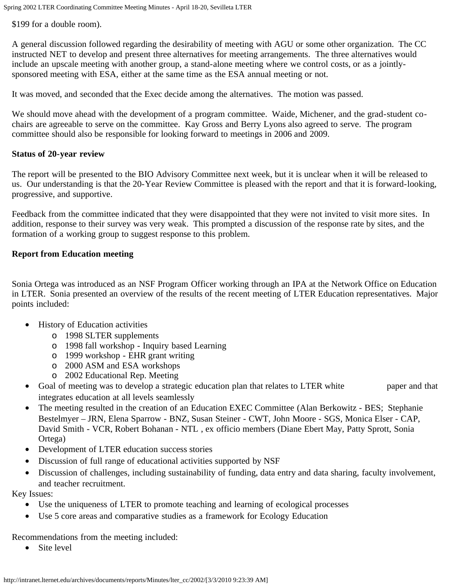\$199 for a double room).

A general discussion followed regarding the desirability of meeting with AGU or some other organization. The CC instructed NET to develop and present three alternatives for meeting arrangements. The three alternatives would include an upscale meeting with another group, a stand-alone meeting where we control costs, or as a jointlysponsored meeting with ESA, either at the same time as the ESA annual meeting or not.

It was moved, and seconded that the Exec decide among the alternatives. The motion was passed.

We should move ahead with the development of a program committee. Waide, Michener, and the grad-student cochairs are agreeable to serve on the committee. Kay Gross and Berry Lyons also agreed to serve. The program committee should also be responsible for looking forward to meetings in 2006 and 2009.

#### **Status of 20-year review**

The report will be presented to the BIO Advisory Committee next week, but it is unclear when it will be released to us. Our understanding is that the 20-Year Review Committee is pleased with the report and that it is forward-looking, progressive, and supportive.

Feedback from the committee indicated that they were disappointed that they were not invited to visit more sites. In addition, response to their survey was very weak. This prompted a discussion of the response rate by sites, and the formation of a working group to suggest response to this problem.

#### **Report from Education meeting**

Sonia Ortega was introduced as an NSF Program Officer working through an IPA at the Network Office on Education in LTER. Sonia presented an overview of the results of the recent meeting of LTER Education representatives. Major points included:

- History of Education activities
	- o 1998 SLTER supplements
	- o 1998 fall workshop Inquiry based Learning
	- o 1999 workshop EHR grant writing
	- o 2000 ASM and ESA workshops
	- o 2002 Educational Rep. Meeting
- Goal of meeting was to develop a strategic education plan that relates to LTER white paper and that integrates education at all levels seamlessly
- The meeting resulted in the creation of an Education EXEC Committee (Alan Berkowitz BES; Stephanie Bestelmyer – JRN, Elena Sparrow - BNZ, Susan Steiner - CWT, John Moore - SGS, Monica Elser - CAP, David Smith - VCR, Robert Bohanan - NTL , ex officio members (Diane Ebert May, Patty Sprott, Sonia Ortega)
- Development of LTER education success stories
- Discussion of full range of educational activities supported by NSF
- Discussion of challenges, including sustainability of funding, data entry and data sharing, faculty involvement, and teacher recruitment.

Key Issues:

- Use the uniqueness of LTER to promote teaching and learning of ecological processes
- Use 5 core areas and comparative studies as a framework for Ecology Education

Recommendations from the meeting included:

• Site level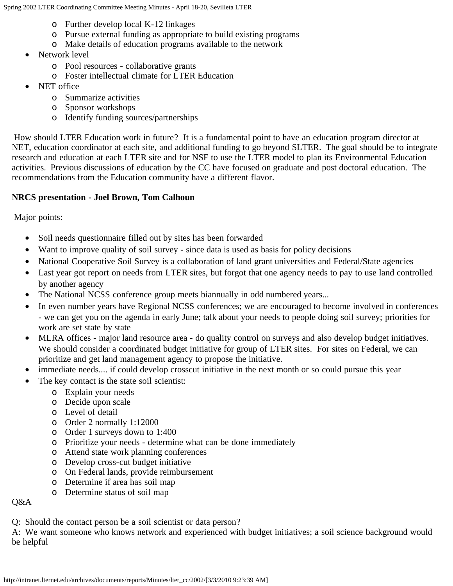- o Further develop local K-12 linkages
- o Pursue external funding as appropriate to build existing programs
- o Make details of education programs available to the network
- Network level
	- o Pool resources collaborative grants
	- o Foster intellectual climate for LTER Education
- NET office
	- o Summarize activities
	- o Sponsor workshops
	- o Identify funding sources/partnerships

How should LTER Education work in future? It is a fundamental point to have an education program director at NET, education coordinator at each site, and additional funding to go beyond SLTER. The goal should be to integrate research and education at each LTER site and for NSF to use the LTER model to plan its Environmental Education activities. Previous discussions of education by the CC have focused on graduate and post doctoral education. The recommendations from the Education community have a different flavor.

# **NRCS presentation - Joel Brown, Tom Calhoun**

Major points:

- Soil needs questionnaire filled out by sites has been forwarded
- Want to improve quality of soil survey since data is used as basis for policy decisions
- National Cooperative Soil Survey is a collaboration of land grant universities and Federal/State agencies
- Last year got report on needs from LTER sites, but forgot that one agency needs to pay to use land controlled by another agency
- The National NCSS conference group meets biannually in odd numbered years...
- In even number years have Regional NCSS conferences; we are encouraged to become involved in conferences - we can get you on the agenda in early June; talk about your needs to people doing soil survey; priorities for work are set state by state
- MLRA offices major land resource area do quality control on surveys and also develop budget initiatives. We should consider a coordinated budget initiative for group of LTER sites. For sites on Federal, we can prioritize and get land management agency to propose the initiative.
- immediate needs.... if could develop crosscut initiative in the next month or so could pursue this year
- The key contact is the state soil scientist:
	- o Explain your needs
	- o Decide upon scale
	- o Level of detail
	- o Order 2 normally 1:12000
	- o Order 1 surveys down to 1:400
	- o Prioritize your needs determine what can be done immediately
	- o Attend state work planning conferences
	- o Develop cross-cut budget initiative
	- o On Federal lands, provide reimbursement
	- o Determine if area has soil map
	- o Determine status of soil map

Q&A

Q: Should the contact person be a soil scientist or data person?

A: We want someone who knows network and experienced with budget initiatives; a soil science background would be helpful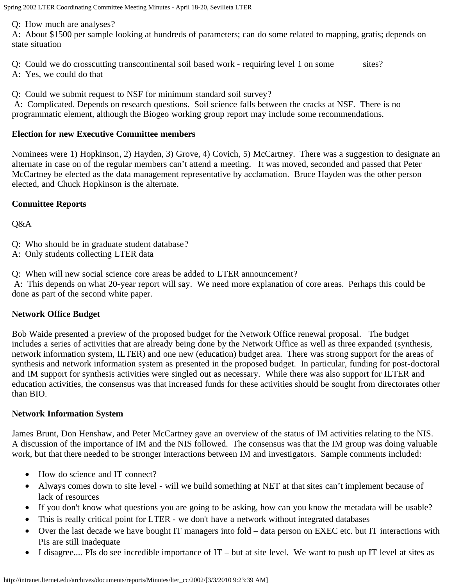Q: How much are analyses?

A: About \$1500 per sample looking at hundreds of parameters; can do some related to mapping, gratis; depends on state situation

- Q: Could we do crosscutting transcontinental soil based work requiring level 1 on some sites?
- A: Yes, we could do that

Q: Could we submit request to NSF for minimum standard soil survey?

A: Complicated. Depends on research questions. Soil science falls between the cracks at NSF. There is no programmatic element, although the Biogeo working group report may include some recommendations.

#### **Election for new Executive Committee members**

Nominees were 1) Hopkinson, 2) Hayden, 3) Grove, 4) Covich, 5) McCartney. There was a suggestion to designate an alternate in case on of the regular members can't attend a meeting. It was moved, seconded and passed that Peter McCartney be elected as the data management representative by acclamation. Bruce Hayden was the other person elected, and Chuck Hopkinson is the alternate.

## **Committee Reports**

Q&A

Q: Who should be in graduate student database?

A: Only students collecting LTER data

Q: When will new social science core areas be added to LTER announcement?

A: This depends on what 20-year report will say. We need more explanation of core areas. Perhaps this could be done as part of the second white paper.

## **Network Office Budget**

Bob Waide presented a preview of the proposed budget for the Network Office renewal proposal. The budget includes a series of activities that are already being done by the Network Office as well as three expanded (synthesis, network information system, ILTER) and one new (education) budget area. There was strong support for the areas of synthesis and network information system as presented in the proposed budget. In particular, funding for post-doctoral and IM support for synthesis activities were singled out as necessary. While there was also support for ILTER and education activities, the consensus was that increased funds for these activities should be sought from directorates other than BIO.

## **Network Information System**

James Brunt, Don Henshaw, and Peter McCartney gave an overview of the status of IM activities relating to the NIS. A discussion of the importance of IM and the NIS followed. The consensus was that the IM group was doing valuable work, but that there needed to be stronger interactions between IM and investigators. Sample comments included:

- How do science and IT connect?
- Always comes down to site level will we build something at NET at that sites can't implement because of lack of resources
- If you don't know what questions you are going to be asking, how can you know the metadata will be usable?
- This is really critical point for LTER we don't have a network without integrated databases
- Over the last decade we have bought IT managers into fold data person on EXEC etc. but IT interactions with PIs are still inadequate
- I disagree.... PIs do see incredible importance of IT but at site level. We want to push up IT level at sites as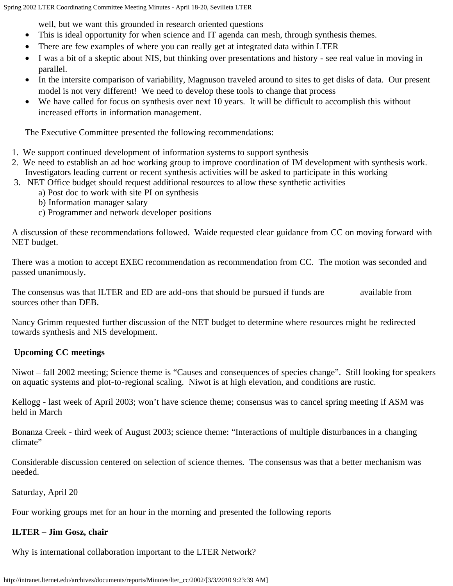well, but we want this grounded in research oriented questions

- This is ideal opportunity for when science and IT agenda can mesh, through synthesis themes.
- There are few examples of where you can really get at integrated data within LTER
- I was a bit of a skeptic about NIS, but thinking over presentations and history see real value in moving in parallel.
- In the intersite comparison of variability, Magnuson traveled around to sites to get disks of data. Our present model is not very different! We need to develop these tools to change that process
- We have called for focus on synthesis over next 10 years. It will be difficult to accomplish this without increased efforts in information management.

The Executive Committee presented the following recommendations:

- 1. We support continued development of information systems to support synthesis
- 2. We need to establish an ad hoc working group to improve coordination of IM development with synthesis work. Investigators leading current or recent synthesis activities will be asked to participate in this working
- 3. NET Office budget should request additional resources to allow these synthetic activities
	- a) Post doc to work with site PI on synthesis
		- b) Information manager salary
		- c) Programmer and network developer positions

A discussion of these recommendations followed. Waide requested clear guidance from CC on moving forward with NET budget.

There was a motion to accept EXEC recommendation as recommendation from CC. The motion was seconded and passed unanimously.

The consensus was that ILTER and ED are add-ons that should be pursued if funds are available from sources other than DEB.

Nancy Grimm requested further discussion of the NET budget to determine where resources might be redirected towards synthesis and NIS development.

# **Upcoming CC meetings**

Niwot – fall 2002 meeting; Science theme is "Causes and consequences of species change". Still looking for speakers on aquatic systems and plot-to-regional scaling. Niwot is at high elevation, and conditions are rustic.

Kellogg - last week of April 2003; won't have science theme; consensus was to cancel spring meeting if ASM was held in March

Bonanza Creek - third week of August 2003; science theme: "Interactions of multiple disturbances in a changing climate"

Considerable discussion centered on selection of science themes. The consensus was that a better mechanism was needed.

Saturday, April 20

Four working groups met for an hour in the morning and presented the following reports

# **ILTER – Jim Gosz, chair**

Why is international collaboration important to the LTER Network?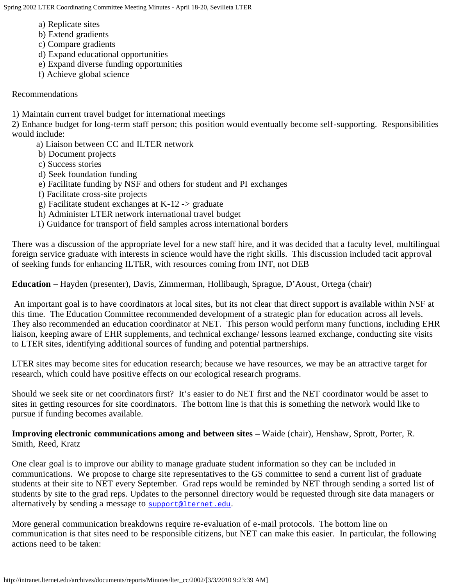- a) Replicate sites
- b) Extend gradients
- c) Compare gradients
- d) Expand educational opportunities
- e) Expand diverse funding opportunities
- f) Achieve global science

## Recommendations

1) Maintain current travel budget for international meetings

2) Enhance budget for long-term staff person; this position would eventually become self-supporting. Responsibilities would include:

- a) Liaison between CC and ILTER network
- b) Document projects
- c) Success stories
- d) Seek foundation funding
- e) Facilitate funding by NSF and others for student and PI exchanges
- f) Facilitate cross-site projects
- g) Facilitate student exchanges at K-12 -> graduate
- h) Administer LTER network international travel budget
- i) Guidance for transport of field samples across international borders

There was a discussion of the appropriate level for a new staff hire, and it was decided that a faculty level, multilingual foreign service graduate with interests in science would have the right skills. This discussion included tacit approval of seeking funds for enhancing ILTER, with resources coming from INT, not DEB

**Education** – Hayden (presenter), Davis, Zimmerman, Hollibaugh, Sprague, D'Aoust, Ortega (chair)

An important goal is to have coordinators at local sites, but its not clear that direct support is available within NSF at this time. The Education Committee recommended development of a strategic plan for education across all levels. They also recommended an education coordinator at NET. This person would perform many functions, including EHR liaison, keeping aware of EHR supplements, and technical exchange/ lessons learned exchange, conducting site visits to LTER sites, identifying additional sources of funding and potential partnerships.

LTER sites may become sites for education research; because we have resources, we may be an attractive target for research, which could have positive effects on our ecological research programs.

Should we seek site or net coordinators first? It's easier to do NET first and the NET coordinator would be asset to sites in getting resources for site coordinators. The bottom line is that this is something the network would like to pursue if funding becomes available.

**Improving electronic communications among and between sites –** Waide (chair), Henshaw, Sprott, Porter, R. Smith, Reed, Kratz

One clear goal is to improve our ability to manage graduate student information so they can be included in communications. We propose to charge site representatives to the GS committee to send a current list of graduate students at their site to NET every September. Grad reps would be reminded by NET through sending a sorted list of students by site to the grad reps. Updates to the personnel directory would be requested through site data managers or alternatively by sending a message to [support@lternet.edu](mailto:support@lternet.edu).

More general communication breakdowns require re-evaluation of e-mail protocols. The bottom line on communication is that sites need to be responsible citizens, but NET can make this easier. In particular, the following actions need to be taken: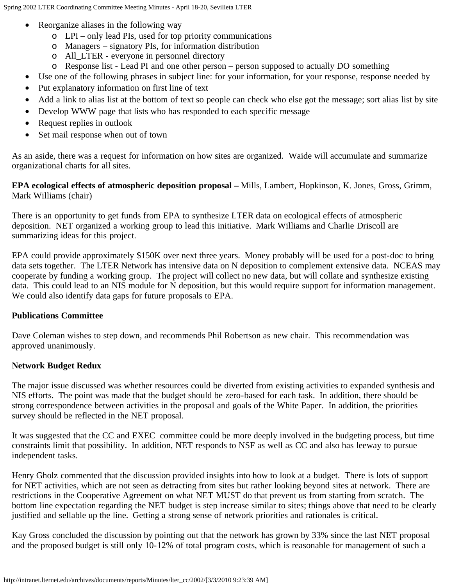- Reorganize aliases in the following way
	- o LPI only lead PIs, used for top priority communications
	- o Managers signatory PIs, for information distribution
	- o All\_LTER everyone in personnel directory
	- o Response list Lead PI and one other person person supposed to actually DO something
- Use one of the following phrases in subject line: for your information, for your response, response needed by
- Put explanatory information on first line of text
- Add a link to alias list at the bottom of text so people can check who else got the message; sort alias list by site
- Develop WWW page that lists who has responded to each specific message
- Request replies in outlook
- Set mail response when out of town

As an aside, there was a request for information on how sites are organized. Waide will accumulate and summarize organizational charts for all sites.

**EPA ecological effects of atmospheric deposition proposal –** Mills, Lambert, Hopkinson, K. Jones, Gross, Grimm, Mark Williams (chair)

There is an opportunity to get funds from EPA to synthesize LTER data on ecological effects of atmospheric deposition. NET organized a working group to lead this initiative. Mark Williams and Charlie Driscoll are summarizing ideas for this project.

EPA could provide approximately \$150K over next three years. Money probably will be used for a post-doc to bring data sets together. The LTER Network has intensive data on N deposition to complement extensive data. NCEAS may cooperate by funding a working group. The project will collect no new data, but will collate and synthesize existing data. This could lead to an NIS module for N deposition, but this would require support for information management. We could also identify data gaps for future proposals to EPA.

## **Publications Committee**

Dave Coleman wishes to step down, and recommends Phil Robertson as new chair. This recommendation was approved unanimously.

## **Network Budget Redux**

The major issue discussed was whether resources could be diverted from existing activities to expanded synthesis and NIS efforts. The point was made that the budget should be zero-based for each task. In addition, there should be strong correspondence between activities in the proposal and goals of the White Paper. In addition, the priorities survey should be reflected in the NET proposal.

It was suggested that the CC and EXEC committee could be more deeply involved in the budgeting process, but time constraints limit that possibility. In addition, NET responds to NSF as well as CC and also has leeway to pursue independent tasks.

Henry Gholz commented that the discussion provided insights into how to look at a budget. There is lots of support for NET activities, which are not seen as detracting from sites but rather looking beyond sites at network. There are restrictions in the Cooperative Agreement on what NET MUST do that prevent us from starting from scratch. The bottom line expectation regarding the NET budget is step increase similar to sites; things above that need to be clearly justified and sellable up the line. Getting a strong sense of network priorities and rationales is critical.

Kay Gross concluded the discussion by pointing out that the network has grown by 33% since the last NET proposal and the proposed budget is still only 10-12% of total program costs, which is reasonable for management of such a